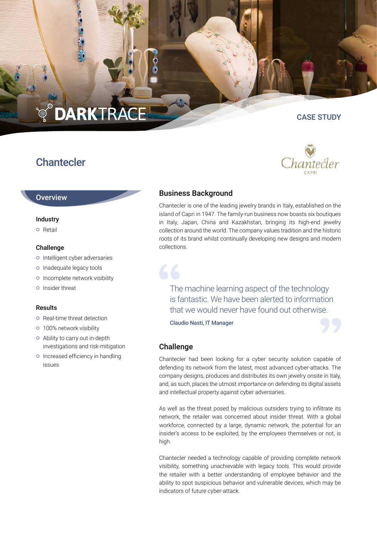# **DARKTRACE**

## **Chantecler**

#### CASE STUDY



#### **Overview**

#### Industry

**o** Retail

#### Challenge

- o Intelligent cyber adversaries
- o Inadequate legacy tools
- o Incomplete network visibility
- **o** Insider threat

#### Results

- **o** Real-time threat detection
- o 100% network visibility
- Ability to carry out in-depth investigations and risk-mitigation
- **o** Increased efficiency in handling issues

### Business Background

Chantecler is one of the leading jewelry brands in Italy, established on the island of Capri in 1947. The family-run business now boasts six boutiques in Italy, Japan, China and Kazakhstan, bringing its high-end jewelry collection around the world. The company values tradition and the historic roots of its brand whilst continually developing new designs and modern collections.

The machine learning aspect of the technology is fantastic. We have been alerted to information that we would never have found out otherwise.

Claudio Nasti, IT Manager



66

Chantecler had been looking for a cyber security solution capable of defending its network from the latest, most advanced cyber-attacks. The company designs, produces and distributes its own jewelry onsite in Italy, and, as such, places the utmost importance on defending its digital assets and intellectual property against cyber adversaries.

As well as the threat posed by malicious outsiders trying to infiltrate its network, the retailer was concerned about insider threat. With a global workforce, connected by a large, dynamic network, the potential for an insider's access to be exploited, by the employees themselves or not, is high.

Chantecler needed a technology capable of providing complete network visibility, something unachievable with legacy tools. This would provide the retailer with a better understanding of employee behavior and the ability to spot suspicious behavior and vulnerable devices, which may be indicators of future cyber-attack.